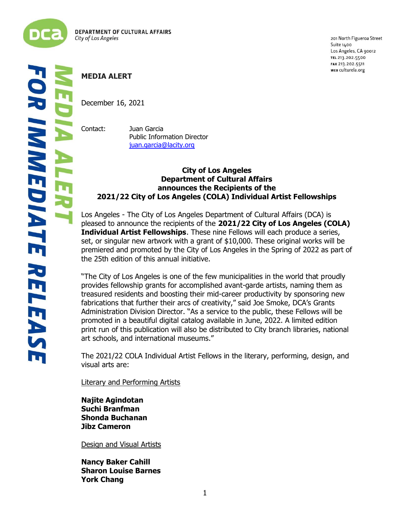

201 North Figueroa Street Suite 1400 Los Angeles, CA 90012 TEL 213.202.5500 FAX 213.202.5511 WEB culturela.org

# **MEDIA ALERT**

December 16, 2021

Contact: Juan Garcia Public Information Director [juan.garcia@lacity.org](mailto:juan.garcia@lacity.org)

# **City of Los Angeles Department of Cultural Affairs announces the Recipients of the 2021/22 City of Los Angeles (COLA) Individual Artist Fellowships**

Los Angeles - The City of Los Angeles Department of Cultural Affairs (DCA) is pleased to announce the recipients of the **2021/22 City of Los Angeles (COLA) Individual Artist Fellowships**. These nine Fellows will each produce a series, set, or singular new artwork with a grant of \$10,000. These original works will be premiered and promoted by the City of Los Angeles in the Spring of 2022 as part of the 25th edition of this annual initiative.

"The City of Los Angeles is one of the few municipalities in the world that proudly provides fellowship grants for accomplished avant-garde artists, naming them as treasured residents and boosting their mid-career productivity by sponsoring new fabrications that further their arcs of creativity," said Joe Smoke, DCA's Grants Administration Division Director. "As a service to the public, these Fellows will be promoted in a beautiful digital catalog available in June, 2022. A limited edition print run of this publication will also be distributed to City branch libraries, national art schools, and international museums."

The 2021/22 COLA Individual Artist Fellows in the literary, performing, design, and visual arts are:

Literary and Performing Artists

**Najite Agindotan Suchi Branfman Shonda Buchanan Jibz Cameron**

Design and Visual Artists

**Nancy Baker Cahill Sharon Louise Barnes York Chang**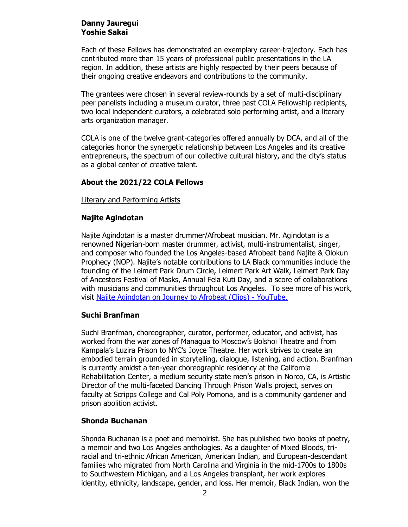## **Danny Jauregui Yoshie Sakai**

Each of these Fellows has demonstrated an exemplary career-trajectory. Each has contributed more than 15 years of professional public presentations in the LA region. In addition, these artists are highly respected by their peers because of their ongoing creative endeavors and contributions to the community.

The grantees were chosen in several review-rounds by a set of multi-disciplinary peer panelists including a museum curator, three past COLA Fellowship recipients, two local independent curators, a celebrated solo performing artist, and a literary arts organization manager.

COLA is one of the twelve grant-categories offered annually by DCA, and all of the categories honor the synergetic relationship between Los Angeles and its creative entrepreneurs, the spectrum of our collective cultural history, and the city's status as a global center of creative talent.

## **About the 2021/22 COLA Fellows**

Literary and Performing Artists

#### **Najite Agindotan**

Najite Agindotan is a master drummer/Afrobeat musician. Mr. Agindotan is a renowned Nigerian-born master drummer, activist, multi-instrumentalist, singer, and composer who founded the Los Angeles-based Afrobeat band Najite & Olokun Prophecy (NOP). Najite's notable contributions to LA Black communities include the founding of the Leimert Park Drum Circle, Leimert Park Art Walk, Leimert Park Day of Ancestors Festival of Masks, Annual Fela Kuti Day, and a score of collaborations with musicians and communities throughout Los Angeles. To see more of his work, visit [Najite Agindotan on Journey to Afrobeat \(Clips\) -](https://www.youtube.com/watch?v=SbRyKE2BkCk&list=PLDvONNO1MiPsuS5zn8iuZZP8UrMEXXBsf) YouTube.

#### **Suchi Branfman**

Suchi Branfman, choreographer, curator, performer, educator, and activist, has worked from the war zones of Managua to Moscow's Bolshoi Theatre and from Kampala's Luzira Prison to NYC's Joyce Theatre. Her work strives to create an embodied terrain grounded in storytelling, dialogue, listening, and action. Branfman is currently amidst a ten-year choreographic residency at the California Rehabilitation Center, a medium security state men's prison in Norco, CA, is Artistic Director of the multi-faceted Dancing Through Prison Walls project, serves on faculty at Scripps College and Cal Poly Pomona, and is a community gardener and prison abolition activist.

#### **Shonda Buchanan**

Shonda Buchanan is a poet and memoirist. She has published two books of poetry, a memoir and two Los Angeles anthologies. As a daughter of Mixed Bloods, triracial and tri-ethnic African American, American Indian, and European-descendant families who migrated from North Carolina and Virginia in the mid-1700s to 1800s to Southwestern Michigan, and a Los Angeles transplant, her work explores identity, ethnicity, landscape, gender, and loss. Her memoir, Black Indian, won the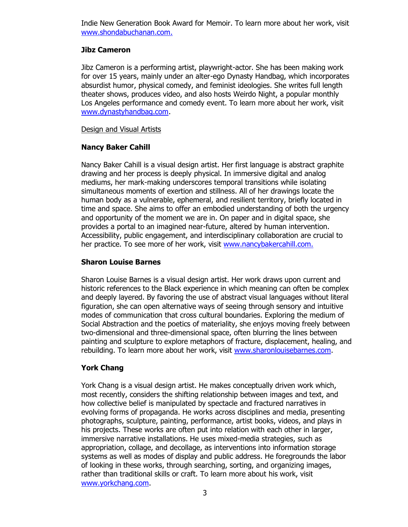Indie New Generation Book Award for Memoir. To learn more about her work, visit [www.shondabuchanan.com.](http://www.shondabuchanan.com/)

## **Jibz Cameron**

Jibz Cameron is a performing artist, playwright-actor. She has been making work for over 15 years, mainly under an alter-ego Dynasty Handbag, which incorporates absurdist humor, physical comedy, and feminist ideologies. She writes full length theater shows, produces video, and also hosts Weirdo Night, a popular monthly Los Angeles performance and comedy event. To learn more about her work, visit [www.dynastyhandbag.com.](http://www.dynastyhandbag.com/)

#### Design and Visual Artists

## **Nancy Baker Cahill**

Nancy Baker Cahill is a visual design artist. Her first language is abstract graphite drawing and her process is deeply physical. In immersive digital and analog mediums, her mark-making underscores temporal transitions while isolating simultaneous moments of exertion and stillness. All of her drawings locate the human body as a vulnerable, ephemeral, and resilient territory, briefly located in time and space. She aims to offer an embodied understanding of both the urgency and opportunity of the moment we are in. On paper and in digital space, she provides a portal to an imagined near-future, altered by human intervention. Accessibility, public engagement, and interdisciplinary collaboration are crucial to her practice. To see more of her work, visit [www.nancybakercahill.com.](http://www.nancybakercahill.com/)

## **Sharon Louise Barnes**

Sharon Louise Barnes is a visual design artist. Her work draws upon current and historic references to the Black experience in which meaning can often be complex and deeply layered. By favoring the use of abstract visual languages without literal figuration, she can open alternative ways of seeing through sensory and intuitive modes of communication that cross cultural boundaries. Exploring the medium of Social Abstraction and the poetics of materiality, she enjoys moving freely between two-dimensional and three-dimensional space, often blurring the lines between painting and sculpture to explore metaphors of fracture, displacement, healing, and rebuilding. To learn more about her work, visit [www.sharonlouisebarnes.com.](http://www.sharonlouisebarnes.com/)

# **York Chang**

York Chang is a visual design artist. He makes conceptually driven work which, most recently, considers the shifting relationship between images and text, and how collective belief is manipulated by spectacle and fractured narratives in evolving forms of propaganda. He works across disciplines and media, presenting photographs, sculpture, painting, performance, artist books, videos, and plays in his projects. These works are often put into relation with each other in larger, immersive narrative installations. He uses mixed-media strategies, such as appropriation, collage, and decollage, as interventions into information storage systems as well as modes of display and public address. He foregrounds the labor of looking in these works, through searching, sorting, and organizing images, rather than traditional skills or craft. To learn more about his work, visit [www.yorkchang.com.](http://www.yorkchang.com/)